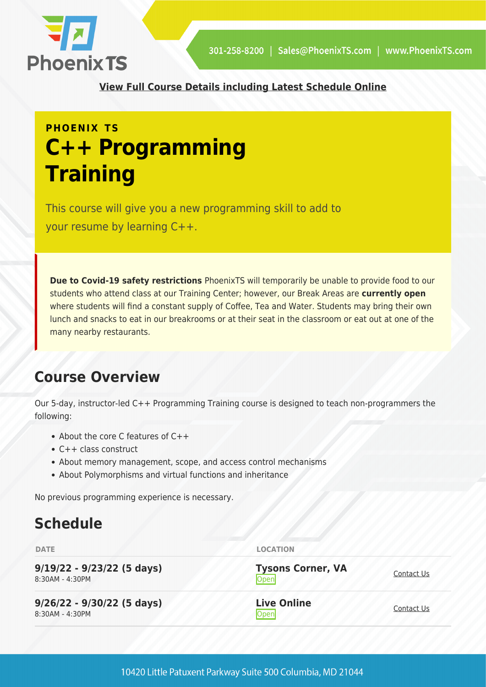

**[View Full Course Details including Latest Schedule Online](https://phoenixts.com/training-courses/c-plus-plus-programming/)**

## **PHOENIX TS C++ Programming Training**

This course will give you a new programming skill to add to your resume by learning C++.

**Due to Covid-19 safety restrictions** PhoenixTS will temporarily be unable to provide food to our students who attend class at our Training Center; however, our Break Areas are **currently open** where students will find a constant supply of Coffee, Tea and Water. Students may bring their own lunch and snacks to eat in our breakrooms or at their seat in the classroom or eat out at one of the many nearby restaurants.

## **Course Overview**

Our 5-day, instructor-led C++ Programming Training course is designed to teach non-programmers the following:

- About the core C features of C++
- C++ class construct
- About memory management, scope, and access control mechanisms
- About Polymorphisms and virtual functions and inheritance

No previous programming experience is necessary.

## **Schedule**

| <b>DATE</b>                                       | <b>LOCATION</b>                         |            |
|---------------------------------------------------|-----------------------------------------|------------|
| $9/19/22 - 9/23/22$ (5 days)<br>$8:30AM - 4:30PM$ | <b>Tysons Corner, VA</b><br><b>Open</b> | Contact Us |
| $9/26/22 - 9/30/22$ (5 days)<br>8:30AM - 4:30PM   | <b>Live Online</b><br>Open              | Contact Us |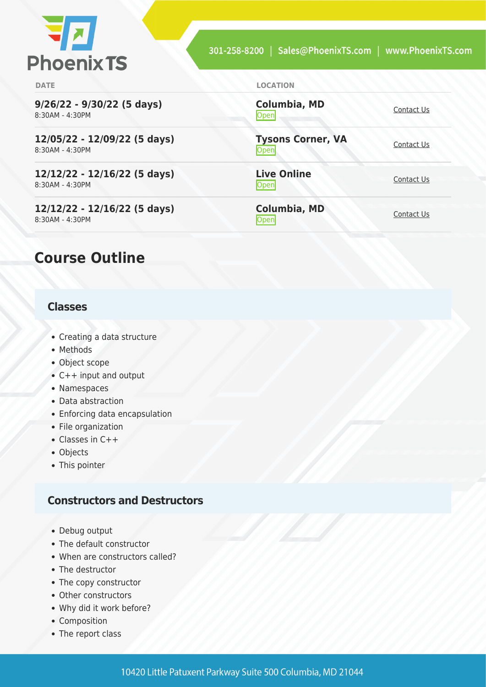

**[Contact Us](https://phoenixts.com/schedule/more-info/?class=23631)** 

<u>Open</u>

<u>[Contact Us](https://phoenixts.com/schedule/more-info/?class=23629)</u>

[Contact Us](https://phoenixts.com/schedule/more-info/?class=23630)<br>Open

**Columbia, MD**

**Live Online**

**Columbia, MD**

**Tysons Corner, VA**

**DATE LOCATION**

**9/26/22 - 9/30/22 (5 days)** 8:30AM - 4:30PM

**12/05/22 - 12/09/22 (5 days)** 8:30AM - 4:30PM

**12/12/22 - 12/16/22 (5 days)** 8:30AM - 4:30PM

**12/12/22 - 12/16/22 (5 days)** 8:30AM - 4:30PM

### **Course Outline**

#### **Classes**

- Creating a data structure
- Methods
- Object scope
- C++ input and output
- Namespaces
- Data abstraction
- Enforcing data encapsulation
- File organization
- Classes in C++
- Objects
- This pointer

#### **Constructors and Destructors**

- Debug output
- The default constructor
- When are constructors called?
- The destructor
- The copy constructor
- Other constructors
- Why did it work before?
- Composition
- The report class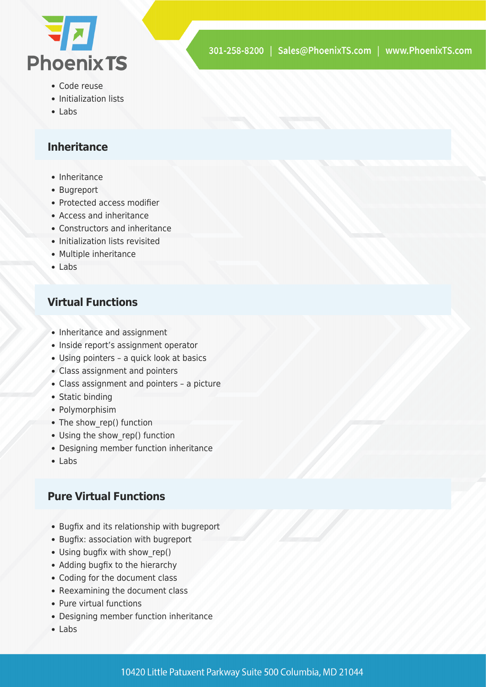

- Code reuse
- Initialization lists
- Labs

#### **Inheritance**

- Inheritance
- Bugreport
- Protected access modifier
- Access and inheritance
- Constructors and inheritance
- Initialization lists revisited
- Multiple inheritance
- Labs

#### **Virtual Functions**

- Inheritance and assignment
- Inside report's assignment operator
- Using pointers a quick look at basics
- Class assignment and pointers
- Class assignment and pointers a picture
- Static binding
- Polymorphisim
- The show\_rep() function
- Using the show rep() function
- Designing member function inheritance
- Labs

#### **Pure Virtual Functions**

- Bugfix and its relationship with bugreport
- Bugfix: association with bugreport
- Using bugfix with show rep()
- Adding bugfix to the hierarchy
- Coding for the document class
- Reexamining the document class
- Pure virtual functions
- Designing member function inheritance
- Labs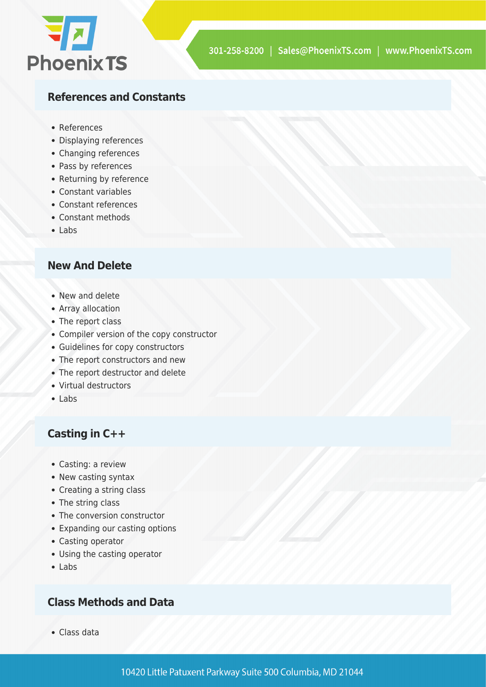

#### **References and Constants**

- References
- Displaying references
- Changing references
- Pass by references
- Returning by reference
- Constant variables
- Constant references
- Constant methods
- Labs

#### **New And Delete**

- New and delete
- Array allocation
- The report class
- Compiler version of the copy constructor
- Guidelines for copy constructors
- The report constructors and new
- The report destructor and delete
- Virtual destructors
- Labs

#### **Casting in C++**

- Casting: a review
- New casting syntax
- Creating a string class
- The string class
- The conversion constructor
- Expanding our casting options
- Casting operator
- Using the casting operator
- Labs

#### **Class Methods and Data**

Class data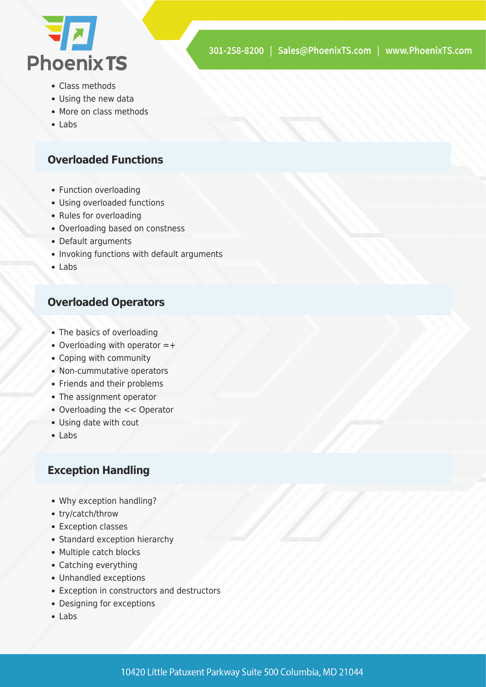

- Class methods
- Using the new data
- More on class methods
- Labs

#### **Overloaded Functions**

- Function overloading
- Using overloaded functions
- Rules for overloading
- Overloading based on constness
- Default arguments
- Invoking functions with default arguments
- Labs

#### **Overloaded Operators**

- The basics of overloading
- Overloading with operator =+
- Coping with community
- Non-cummutative operators
- Friends and their problems
- The assignment operator
- Overloading the << Operator
- Using date with cout
- Labs

#### **Exception Handling**

- Why exception handling?
- try/catch/throw
- Exception classes
- Standard exception hierarchy
- Multiple catch blocks
- Catching everything
- Unhandled exceptions
- Exception in constructors and destructors
- Designing for exceptions
- $\bullet$  Labs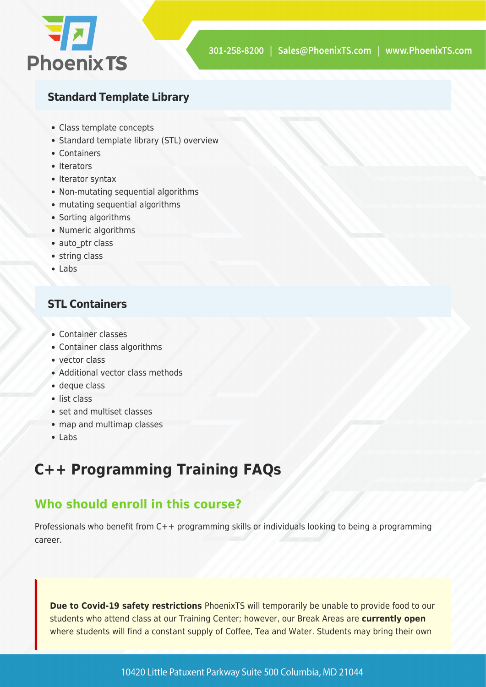

#### **Standard Template Library**

- Class template concepts
- Standard template library (STL) overview
- Containers
- Iterators
- Iterator syntax
- Non-mutating sequential algorithms
- mutating sequential algorithms
- Sorting algorithms
- Numeric algorithms
- auto ptr class
- string class
- Labs

#### **STL Containers**

- Container classes
- Container class algorithms
- vector class
- Additional vector class methods
- deque class
- list class
- set and multiset classes
- map and multimap classes
- Labs

## **C++ Programming Training FAQs**

#### **Who should enroll in this course?**

Professionals who benefit from C++ programming skills or individuals looking to being a programming career.

**Due to Covid-19 safety restrictions** PhoenixTS will temporarily be unable to provide food to our students who attend class at our Training Center; however, our Break Areas are **currently open** where students will find a constant supply of Coffee, Tea and Water. Students may bring their own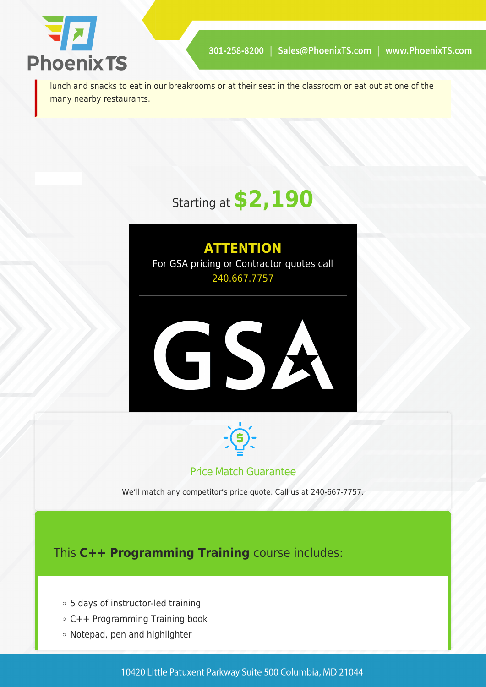

lunch and snacks to eat in our breakrooms or at their seat in the classroom or eat out at one of the many nearby restaurants.

# Starting at **\$2,190**

# **ATTENTION** For GSA pricing or Contractor quotes call [240.667.7757](#page--1-0) GSA



#### Price Match Guarantee

We'll match any competitor's price quote. Call us at 240-667-7757.

This **C++ Programming Training** course includes:

- 5 days of instructor-led training
- C++ Programming Training book
- Notepad, pen and highlighter